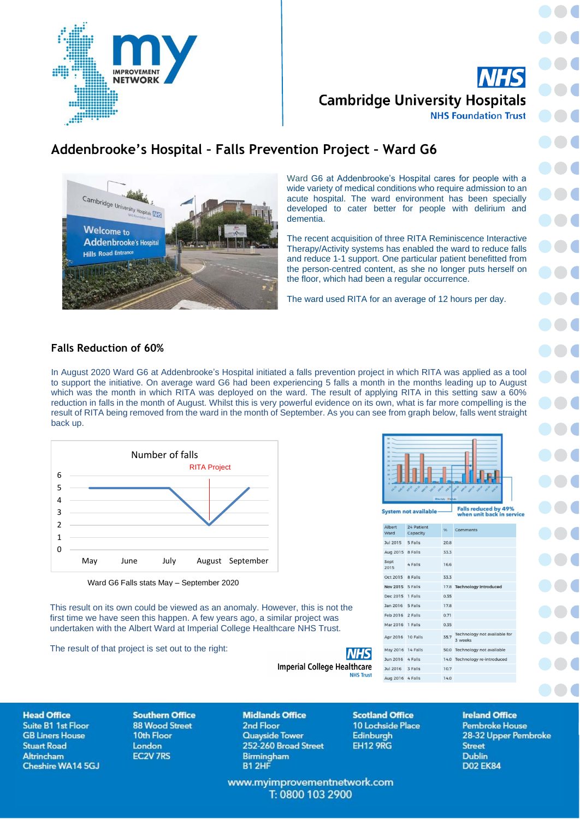**IMPROVEMENT NETWORK** 

**Cambridge University Hospitals NHS Foundation Trust** 

# **Addenbrooke's Hospital – Falls Prevention Project – Ward G6**



Ward G6 at Addenbrooke's Hospital cares for people with a wide variety of medical conditions who require admission to an acute hospital. The ward environment has been specially developed to cater better for people with delirium and dementia.

The recent acquisition of three RITA Reminiscence Interactive Therapy/Activity systems has enabled the ward to reduce falls and reduce 1-1 support. One particular patient benefitted from the person-centred content, as she no longer puts herself on the floor, which had been a regular occurrence.

The ward used RITA for an average of 12 hours per day.

# **Falls Reduction of 60%**

In August 2020 Ward G6 at Addenbrooke's Hospital initiated a falls prevention project in which RITA was applied as a tool to support the initiative. On average ward G6 had been experiencing 5 falls a month in the months leading up to August which was the month in which RITA was deployed on the ward. The result of applying RITA in this setting saw a 60% reduction in falls in the month of August. Whilst this is very powerful evidence on its own, what is far more compelling is the result of RITA being removed from the ward in the month of September. As you can see from graph below, falls went straight back up.



Ward G6 Falls stats May – September 2020

This result on its own could be viewed as an anomaly. However, this is not the first time we have seen this happen. A few years ago, a similar project was undertaken with the Albert Ward at Imperial College Healthcare NHS Trust.

The result of that project is set out to the right:



Falls reduced by 49%<br>when unit back in service

| <b>Albert</b><br>Ward | 24 Patient<br>Capacity | 96   | Comments                               |
|-----------------------|------------------------|------|----------------------------------------|
| Jul 2015 5 Falls      |                        | 20.8 |                                        |
| Aug 2015 8 Falls      |                        | 33.3 |                                        |
| Sept<br>2015          | 4 Falls                | 16.6 |                                        |
| Oct 2015              | 8 Falls                | 33.3 |                                        |
| Nov 2015 5 Falls      |                        |      | 17.8 Technology Introduced             |
| Dec 2015              | 1 Falls                | 0.35 |                                        |
| Jan 2016              | 5 Falls                | 17.8 |                                        |
| Feb 2016 2 Falls      |                        | 0.71 |                                        |
| Mar 2016 1 Falls      |                        | 0.35 |                                        |
| Apr 2016 10 Falls     |                        | 35.7 | Technology not available fo<br>3 weeks |
| May 2016 14 Falls     |                        |      | 50.0 Technology not available          |
| Jun 2016 4 Falls      |                        |      | 14.0 Technology re-introduced          |
| Jul 2016 3 Falls      |                        | 10.7 |                                        |
| Aug 2016 4 Falls      |                        | 14.0 |                                        |

**Head Office Suite B1 1st Floor GB Liners House Stuart Road** Altrincham Cheshire WA14 5GJ

**Southern Office 88 Wood Street** 10th Floor **London EC2V 7RS** 

**Midlands Office** 2nd Floor **Quayside Tower** 252-260 Broad Street **Birmingham** B1 2HF

**Scotland Office** 10 Lochside Place Edinburgh **EH12 9RG** 

**NHS** 

**NHS Trust** 

**Ireland Office Pembroke House** 28-32 Upper Pembroke **Street Dublin D02 EK84** 

www.myimprovementnetwork.com T: 0800 103 2900

**Imperial College Healthcare**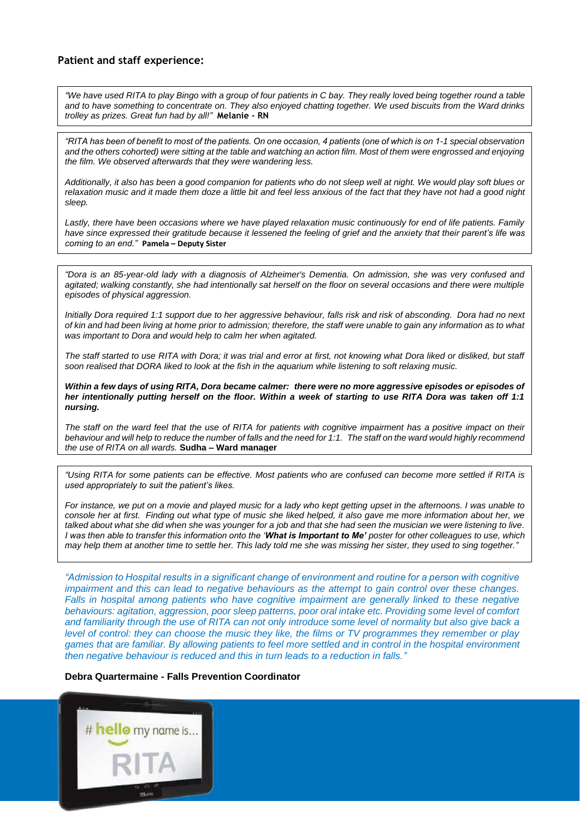## **Patient and staff experience:**

*"We have used RITA to play Bingo with a group of four patients in C bay. They really loved being together round a table and to have something to concentrate on. They also enjoyed chatting together. We used biscuits from the Ward drinks trolley as prizes. Great fun had by all!"* **Melanie - RN**

*"RITA has been of benefit to most of the patients. On one occasion, 4 patients (one of which is on 1-1 special observation and the others cohorted) were sitting at the table and watching an action film. Most of them were engrossed and enjoying the film. We observed afterwards that they were wandering less.*

*Additionally, it also has been a good companion for patients who do not sleep well at night. We would play soft blues or relaxation music and it made them doze a little bit and feel less anxious of the fact that they have not had a good night sleep.*

*Lastly, there have been occasions where we have played relaxation music continuously for end of life patients. Family have since expressed their gratitude because it lessened the feeling of grief and the anxiety that their parent's life was coming to an end."* **Pamela – Deputy Sister**

*"Dora is an 85-year-old lady with a diagnosis of Alzheimer's Dementia. On admission, she was very confused and agitated; walking constantly, she had intentionally sat herself on the floor on several occasions and there were multiple episodes of physical aggression.* 

*Initially Dora required 1:1 support due to her aggressive behaviour, falls risk and risk of absconding. Dora had no next of kin and had been living at home prior to admission; therefore, the staff were unable to gain any information as to what was important to Dora and would help to calm her when agitated.*

*The staff started to use RITA with Dora; it was trial and error at first, not knowing what Dora liked or disliked, but staff soon realised that DORA liked to look at the fish in the aquarium while listening to soft relaxing music.* 

*Within a few days of using RITA, Dora became calmer: there were no more aggressive episodes or episodes of her intentionally putting herself on the floor. Within a week of starting to use RITA Dora was taken off 1:1 nursing.*

The staff on the ward feel that the use of RITA for patients with cognitive impairment has a positive impact on their *behaviour and will help to reduce the number of falls and the need for 1:1. The staff on the ward would highly recommend the use of RITA on all wards.* **Sudha – Ward manager**

*"Using RITA for some patients can be effective. Most patients who are confused can become more settled if RITA is used appropriately to suit the patient's likes.*

*For instance, we put on a movie and played music for a lady who kept getting upset in the afternoons. I was unable to console her at first. Finding out what type of music she liked helped, it also gave me more information about her, we talked about what she did when she was younger for a job and that she had seen the musician we were listening to live. I was then able to transfer this information onto the 'What is Important to Me' poster for other colleagues to use, which may help them at another time to settle her. This lady told me she was missing her sister, they used to sing together."*

*"Admission to Hospital results in a significant change of environment and routine for a person with cognitive impairment and this can lead to negative behaviours as the attempt to gain control over these changes.*  Falls in hospital among patients who have cognitive impairment are generally linked to these negative *behaviours: agitation, aggression, poor sleep patterns, poor oral intake etc. Providing some level of comfort and familiarity through the use of RITA can not only introduce some level of normality but also give back a level of control: they can choose the music they like, the films or TV programmes they remember or play games that are familiar. By allowing patients to feel more settled and in control in the hospital environment then negative behaviour is reduced and this in turn leads to a reduction in falls."*

### **Debra Quartermaine - Falls Prevention Coordinator**